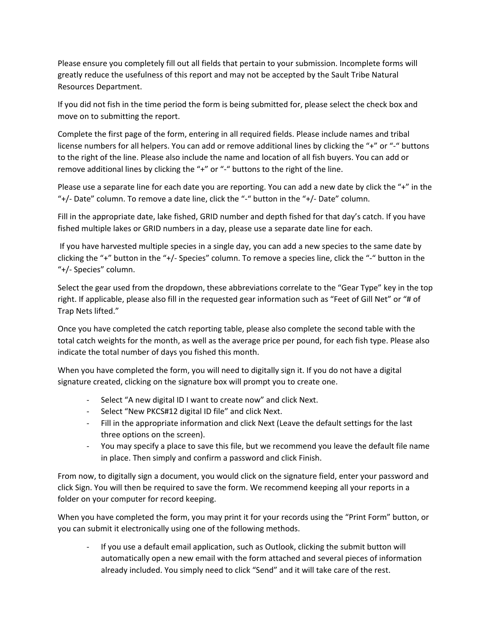Please ensure you completely fill out all fields that pertain to your submission. Incomplete forms will greatly reduce the usefulness of this report and may not be accepted by the Sault Tribe Natural Resources Department.

If you did not fish in the time period the form is being submitted for, please select the check box and move on to submitting the report.

Complete the first page of the form, entering in all required fields. Please include names and tribal license numbers for all helpers. You can add or remove additional lines by clicking the "+" or "‐" buttons to the right of the line. Please also include the name and location of all fish buyers. You can add or remove additional lines by clicking the "+" or "-" buttons to the right of the line.

Please use a separate line for each date you are reporting. You can add a new date by click the "+" in the "+/‐ Date" column. To remove a date line, click the "‐" button in the "+/‐ Date" column.

Fill in the appropriate date, lake fished, GRID number and depth fished for that day's catch. If you have fished multiple lakes or GRID numbers in a day, please use a separate date line for each.

If you have harvested multiple species in a single day, you can add a new species to the same date by clicking the "+" button in the "+/‐ Species" column. To remove a species line, click the "‐" button in the "+/‐ Species" column.

Select the gear used from the dropdown, these abbreviations correlate to the "Gear Type" key in the top right. If applicable, please also fill in the requested gear information such as "Feet of Gill Net" or "# of Trap Nets lifted."

Once you have completed the catch reporting table, please also complete the second table with the total catch weights for the month, as well as the average price per pound, for each fish type. Please also indicate the total number of days you fished this month.

When you have completed the form, you will need to digitally sign it. If you do not have a digital signature created, clicking on the signature box will prompt you to create one.

- Select "A new digital ID I want to create now" and click Next.
- ‐ Select "New PKCS#12 digital ID file" and click Next.
- ‐ Fill in the appropriate information and click Next (Leave the default settings for the last three options on the screen).
- ‐ You may specify a place to save this file, but we recommend you leave the default file name in place. Then simply and confirm a password and click Finish.

From now, to digitally sign a document, you would click on the signature field, enter your password and click Sign. You will then be required to save the form. We recommend keeping all your reports in a folder on your computer for record keeping.

When you have completed the form, you may print it for your records using the "Print Form" button, or you can submit it electronically using one of the following methods.

‐ If you use a default email application, such as Outlook, clicking the submit button will automatically open a new email with the form attached and several pieces of information already included. You simply need to click "Send" and it will take care of the rest.